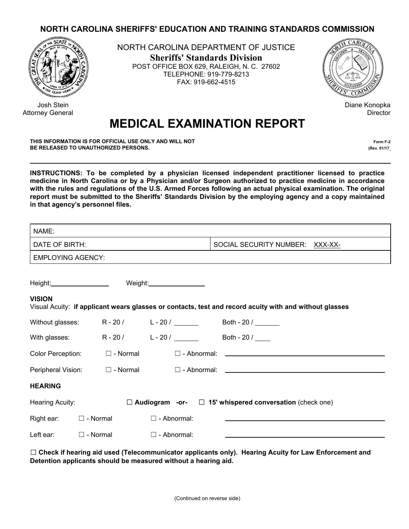## **NORTH CAROLINA SHERIFFS' EDUCATION AND TRAINING STANDARDS COMMISSION**



 Josh Stein Attorney General NORTH CAROLINA DEPARTMENT OF JUSTICE **Sheriffs' Standards Division** POST OFFICE BOX 629, RALEIGH, N. C. 27602 TELEPHONE: 919-779-8213 FAX: 919-662-4515



Diane Konopka **Director** 

## **MEDICAL EXAMINATION REPORT**

**THIS INFORMATION IS FOR OFFICIAL USE ONLY AND WILL NOT Form F-2 BE RELEASED TO UNAUTHORIZED PERSONS.** *(Rev. 01/17\_17)* **(Rev. 01/17\_17)** 

**INSTRUCTIONS: To be completed by a physician licensed independent practitioner licensed to practice medicine in North Carolina or by a Physician and/or Surgeon authorized to practice medicine in accordance with the rules and regulations of the U.S. Armed Forces following an actual physical examination. The original report must be submitted to the Sheriffs' Standards Division by the employing agency and a copy maintained in that agency's personnel files.** 

| NAME:                                                                                                                   |                 |                                   |                    |                            |  |                                                                     |  |  |  |
|-------------------------------------------------------------------------------------------------------------------------|-----------------|-----------------------------------|--------------------|----------------------------|--|---------------------------------------------------------------------|--|--|--|
| DATE OF BIRTH:                                                                                                          |                 |                                   |                    |                            |  | SOCIAL SECURITY NUMBER: XXX-XX-                                     |  |  |  |
| <b>EMPLOYING AGENCY:</b>                                                                                                |                 |                                   |                    |                            |  |                                                                     |  |  |  |
| Height:_____________________                                                                                            |                 |                                   |                    | Weight:___________________ |  |                                                                     |  |  |  |
| <b>VISION</b><br>Visual Acuity: if applicant wears glasses or contacts, test and record acuity with and without glasses |                 |                                   |                    |                            |  |                                                                     |  |  |  |
| Without glasses:                                                                                                        |                 |                                   |                    |                            |  |                                                                     |  |  |  |
| With glasses:                                                                                                           |                 | $R - 20/$ $L - 20/$               |                    |                            |  | Both - 20 /                                                         |  |  |  |
|                                                                                                                         |                 | Color Perception: $\Box$ - Normal |                    |                            |  | $\square$ - Abnormal: $\square$                                     |  |  |  |
|                                                                                                                         |                 | Peripheral Vision: □ - Normal     |                    |                            |  |                                                                     |  |  |  |
| <b>HEARING</b>                                                                                                          |                 |                                   |                    |                            |  |                                                                     |  |  |  |
| Hearing Acuity:                                                                                                         |                 |                                   |                    |                            |  | $\Box$ Audiogram -or- $\Box$ 15' whispered conversation (check one) |  |  |  |
| Right ear:                                                                                                              | $\Box$ - Normal |                                   | $\Box$ - Abnormal: |                            |  |                                                                     |  |  |  |
| Left ear:                                                                                                               | $\Box$ - Normal |                                   | $\Box$ - Abnormal: |                            |  |                                                                     |  |  |  |

☐ **Check if hearing aid used (Telecommunicator applicants only). Hearing Acuity for Law Enforcement and Detention applicants should be measured without a hearing aid.**